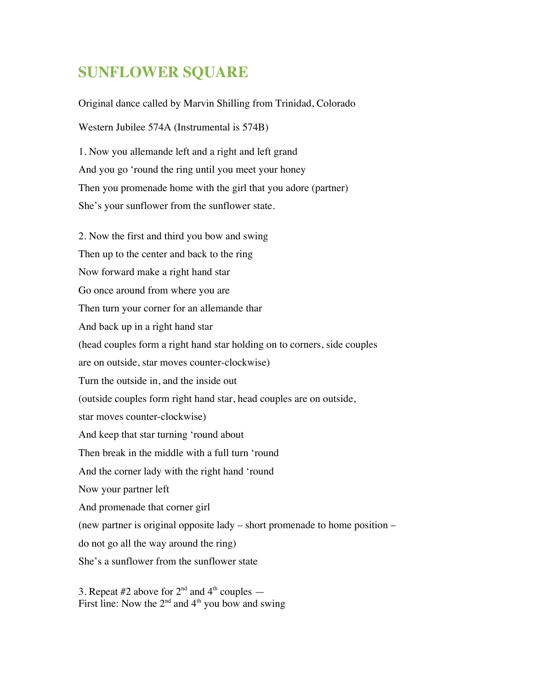## **SUNFLOWER SQUARE**

Original dance called by Marvin Shilling from Trinidad, Colorado

Western Jubilee 574A (Instrumental is 574B)

1. Now you allemande left and a right and left grand And you go 'round the ring until you meet your honey Then you promenade home with the girl that you adore (partner) She's your sunflower from the sunflower state.

2. Now the first and third you bow and swing Then up to the center and back to the ring Now forward make a right hand star Go once around from where you are Then turn your corner for an allemande thar And back up in a right hand star (head couples form a right hand star holding on to corners, side couples are on outside, star moves counter-clockwise) Turn the outside in, and the inside out (outside couples form right hand star, head couples are on outside, star moves counter-clockwise) And keep that star turning 'round about Then break in the middle with a full turn 'round And the corner lady with the right hand 'round Now your partner left And promenade that corner girl (new partner is original opposite lady – short promenade to home position – do not go all the way around the ring) She's a sunflower from the sunflower state

3. Repeat #2 above for  $2<sup>nd</sup>$  and  $4<sup>th</sup>$  couples  $-$ First line: Now the  $2<sup>nd</sup>$  and  $4<sup>th</sup>$  you bow and swing